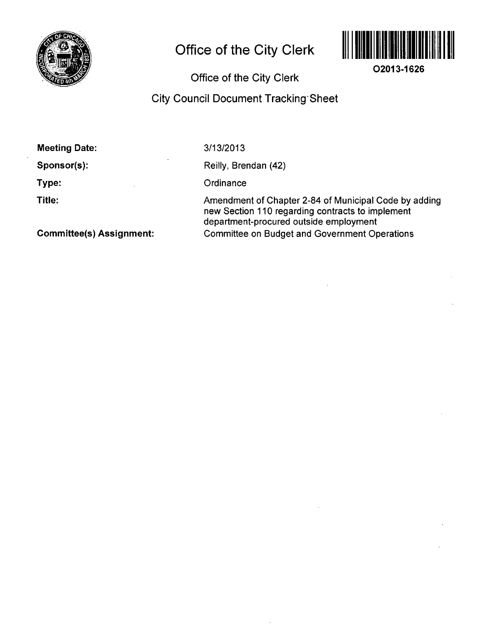

# **Office of the City Clerk**



**02013-1626** 

# **Office of the City Clerk**

# **City Council Document Tracking Sheet**

| <b>Meeting Date:</b>            | 3/13/2013                                                                                                                                           |
|---------------------------------|-----------------------------------------------------------------------------------------------------------------------------------------------------|
| Sponsor(s):                     | Reilly, Brendan (42)                                                                                                                                |
| Type:                           | Ordinance                                                                                                                                           |
| Title:                          | Amendment of Chapter 2-84 of Municipal Code by adding<br>new Section 110 regarding contracts to implement<br>department-procured outside employment |
| <b>Committee(s) Assignment:</b> | <b>Committee on Budget and Government Operations</b>                                                                                                |